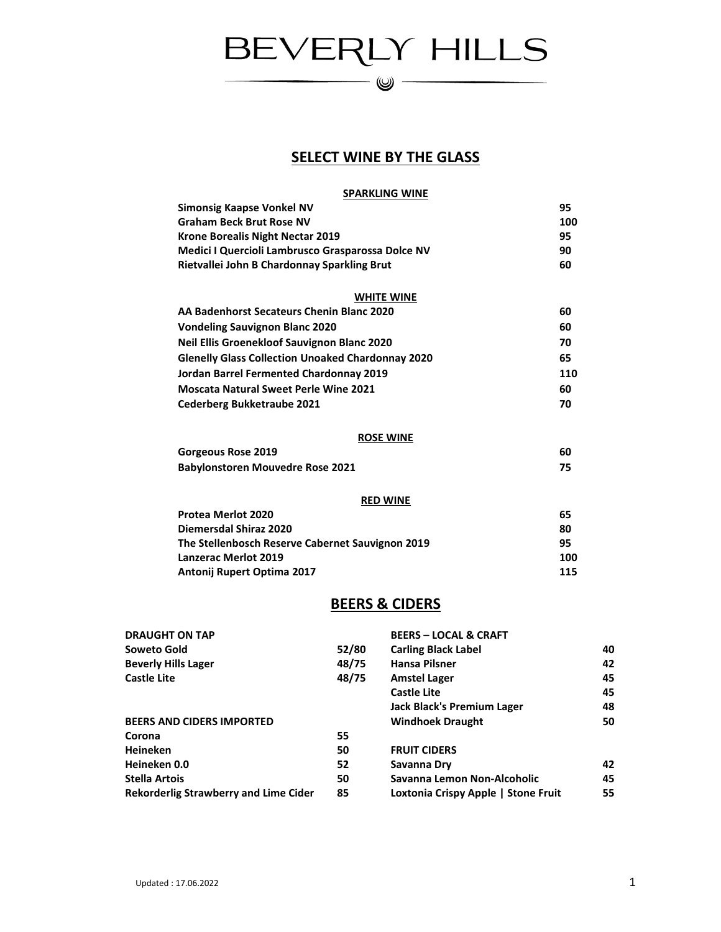# BEVERLY HILLS

—— (V) —

#### **SELECT WINE BY THE GLASS**

#### **SPARKLING WINE**

| Simonsig Kaapse Vonkel NV                                | 95  |
|----------------------------------------------------------|-----|
| <b>Graham Beck Brut Rose NV</b>                          | 100 |
| Krone Borealis Night Nectar 2019                         | 95  |
| Medici I Quercioli Lambrusco Grasparossa Dolce NV        | 90  |
| Rietvallei John B Chardonnay Sparkling Brut              | 60  |
| <b>WHITE WINE</b>                                        |     |
| AA Badenhorst Secateurs Chenin Blanc 2020                | 60  |
| <b>Vondeling Sauvignon Blanc 2020</b>                    | 60  |
| <b>Neil Ellis Groenekloof Sauvignon Blanc 2020</b>       | 70  |
| <b>Glenelly Glass Collection Unoaked Chardonnay 2020</b> | 65  |
| Jordan Barrel Fermented Chardonnay 2019                  | 110 |
| <b>Moscata Natural Sweet Perle Wine 2021</b>             | 60  |
| <b>Cederberg Bukketraube 2021</b>                        | 70  |
|                                                          |     |

#### **ROSE WINE**

| Gorgeous Rose 2019                      | 60 |
|-----------------------------------------|----|
| <b>Babylonstoren Mouvedre Rose 2021</b> |    |

#### **RED WINE**

| <b>Protea Merlot 2020</b>                        | 65  |  |
|--------------------------------------------------|-----|--|
| <b>Diemersdal Shiraz 2020</b>                    | 80  |  |
| The Stellenbosch Reserve Cabernet Sauvignon 2019 | 95  |  |
| <b>Lanzerac Merlot 2019</b>                      | 100 |  |
| Antonij Rupert Optima 2017                       | 115 |  |

#### **BEERS & CIDERS**

| <b>DRAUGHT ON TAP</b>                        |       | <b>BEERS - LOCAL &amp; CRAFT</b>    |    |
|----------------------------------------------|-------|-------------------------------------|----|
| Soweto Gold                                  | 52/80 | <b>Carling Black Label</b>          | 40 |
| <b>Beverly Hills Lager</b>                   | 48/75 | <b>Hansa Pilsner</b>                | 42 |
| Castle Lite                                  | 48/75 | <b>Amstel Lager</b>                 | 45 |
|                                              |       | <b>Castle Lite</b>                  | 45 |
|                                              |       | <b>Jack Black's Premium Lager</b>   | 48 |
| <b>BEERS AND CIDERS IMPORTED</b>             |       | <b>Windhoek Draught</b>             | 50 |
| Corona                                       | 55    |                                     |    |
| <b>Heineken</b>                              | 50    | <b>FRUIT CIDERS</b>                 |    |
| Heineken 0.0                                 | 52    | Savanna Dry                         | 42 |
| <b>Stella Artois</b>                         | 50    | Savanna Lemon Non-Alcoholic         | 45 |
| <b>Rekorderlig Strawberry and Lime Cider</b> | 85    | Loxtonia Crispy Apple   Stone Fruit | 55 |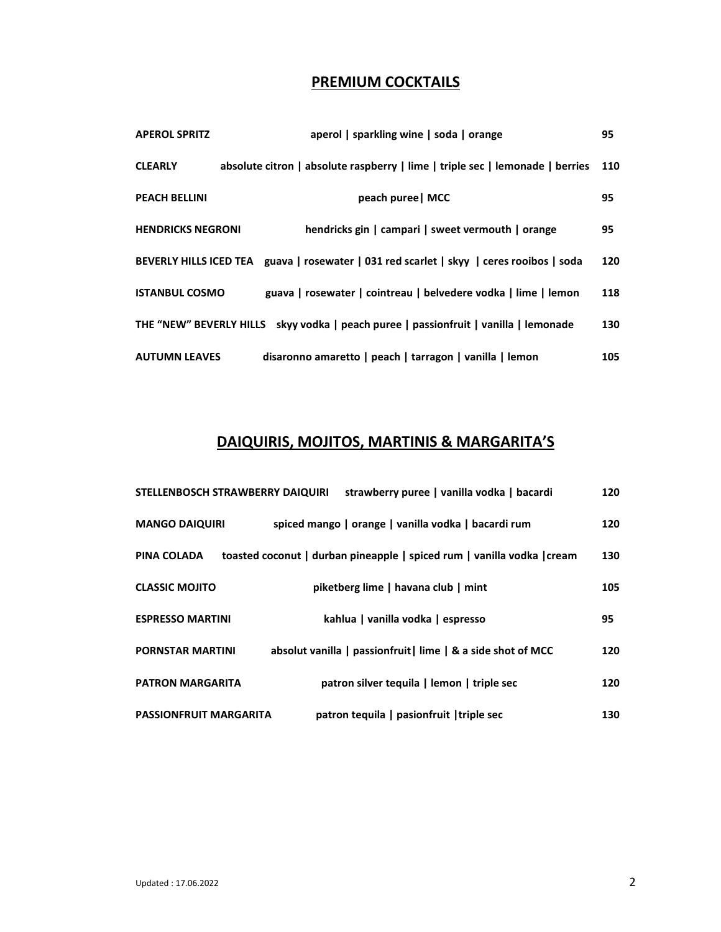# **PREMIUM COCKTAILS**

| <b>APEROL SPRITZ</b>     | aperol   sparkling wine   soda   orange                                                  | 95  |
|--------------------------|------------------------------------------------------------------------------------------|-----|
| <b>CLEARLY</b>           | absolute citron   absolute raspberry   lime   triple sec   lemonade   berries            | 110 |
| <b>PEACH BELLINI</b>     | peach puree   MCC                                                                        | 95  |
| <b>HENDRICKS NEGRONI</b> | hendricks gin   campari   sweet vermouth   orange                                        | 95  |
|                          | BEVERLY HILLS ICED TEA guava   rosewater   031 red scarlet   skyy   ceres rooibos   soda | 120 |
| <b>ISTANBUL COSMO</b>    | guava   rosewater   cointreau   belvedere vodka   lime   lemon                           | 118 |
|                          | THE "NEW" BEVERLY HILLS skyy vodka   peach puree   passionfruit   vanilla   lemonade     | 130 |
| <b>AUTUMN LEAVES</b>     | disaronno amaretto   peach   tarragon   vanilla   lemon                                  | 105 |

## **DAIQUIRIS, MOJITOS, MARTINIS & MARGARITA'S**

| STELLENBOSCH STRAWBERRY DAIQUIRI | strawberry puree   vanilla vodka   bacardi                              | 120 |
|----------------------------------|-------------------------------------------------------------------------|-----|
| <b>MANGO DAIQUIRI</b>            | spiced mango   orange   vanilla vodka   bacardi rum                     | 120 |
| PINA COLADA                      | toasted coconut   durban pineapple   spiced rum   vanilla vodka   cream | 130 |
| <b>CLASSIC MOJITO</b>            | piketberg lime   havana club   mint                                     | 105 |
| <b>ESPRESSO MARTINI</b>          | kahlua   vanilla vodka   espresso                                       | 95  |
| <b>PORNSTAR MARTINI</b>          | absolut vanilla   passionfruit   lime   & a side shot of MCC            | 120 |
| <b>PATRON MARGARITA</b>          | patron silver tequila   lemon   triple sec                              | 120 |
| <b>PASSIONFRUIT MARGARITA</b>    | patron tequila   pasionfruit   triple sec                               | 130 |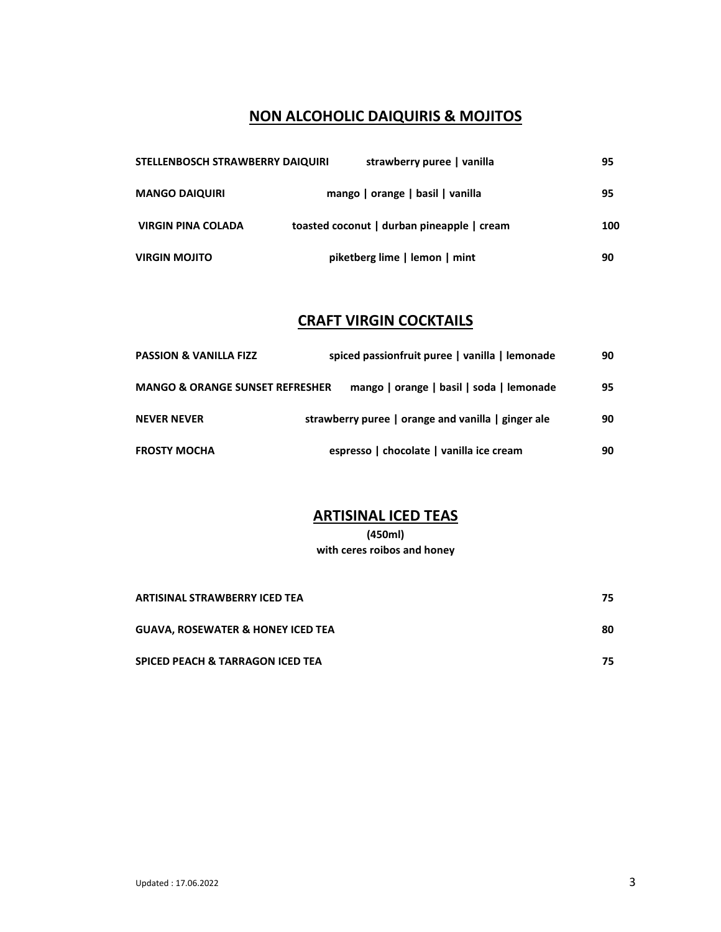#### **NON ALCOHOLIC DAIQUIRIS & MOJITOS**

| STELLENBOSCH STRAWBERRY DAIQUIRI |  | strawberry puree   vanilla                 | 95  |
|----------------------------------|--|--------------------------------------------|-----|
| <b>MANGO DAIQUIRI</b>            |  | mango   orange   basil   vanilla           | 95  |
| <b>VIRGIN PINA COLADA</b>        |  | toasted coconut   durban pineapple   cream | 100 |
| <b>VIRGIN MOJITO</b>             |  | piketberg lime   lemon   mint              | 90  |

## **CRAFT VIRGIN COCKTAILS**

| <b>PASSION &amp; VANILLA FIZZ</b>          | spiced passionfruit puree   vanilla   lemonade     | 90 |
|--------------------------------------------|----------------------------------------------------|----|
| <b>MANGO &amp; ORANGE SUNSET REFRESHER</b> | mango   orange   basil   soda   lemonade           | 95 |
| <b>NEVER NEVER</b>                         | strawberry puree   orange and vanilla   ginger ale | 90 |
| <b>FROSTY MOCHA</b>                        | espresso   chocolate   vanilla ice cream           | 90 |

#### **ARTISINAL ICED TEAS**

**(450ml) with ceres roibos and honey** 

| ARTISINAL STRAWBERRY ICED TEA                | 75. |
|----------------------------------------------|-----|
| <b>GUAVA, ROSEWATER &amp; HONEY ICED TEA</b> | 80  |
| <b>SPICED PEACH &amp; TARRAGON ICED TEA</b>  | 75  |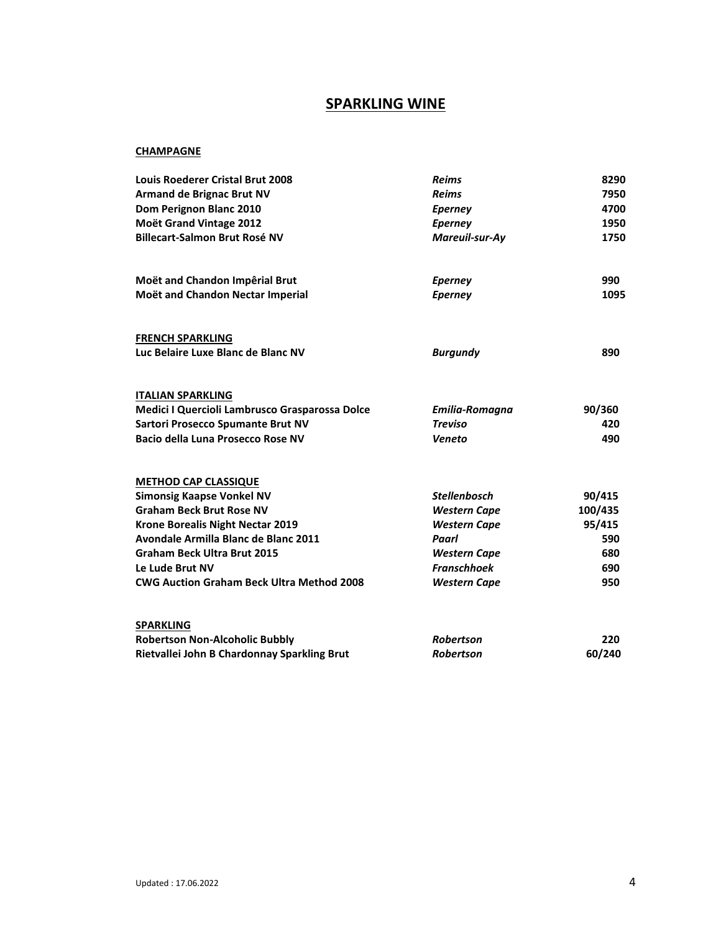#### **SPARKLING WINE**

#### **CHAMPAGNE**

| <b>Louis Roederer Cristal Brut 2008</b>          | <b>Reims</b>        | 8290    |
|--------------------------------------------------|---------------------|---------|
| <b>Armand de Brignac Brut NV</b>                 | <b>Reims</b>        | 7950    |
| Dom Perignon Blanc 2010                          | <b>Eperney</b>      | 4700    |
| Moët Grand Vintage 2012                          | <b>Eperney</b>      | 1950    |
| <b>Billecart-Salmon Brut Rosé NV</b>             | Mareuil-sur-Ay      | 1750    |
| Moët and Chandon Impêrial Brut                   | <b>Eperney</b>      | 990     |
| Moët and Chandon Nectar Imperial                 | <b>Eperney</b>      | 1095    |
| <b>FRENCH SPARKLING</b>                          |                     |         |
| Luc Belaire Luxe Blanc de Blanc NV               | <b>Burgundy</b>     | 890     |
| <u>ITALIAN SPARKLING</u>                         |                     |         |
| Medici I Quercioli Lambrusco Grasparossa Dolce   | Emilia-Romagna      | 90/360  |
| <b>Sartori Prosecco Spumante Brut NV</b>         | <b>Treviso</b>      | 420     |
| Bacio della Luna Prosecco Rose NV                | Veneto              | 490     |
| <b>METHOD CAP CLASSIQUE</b>                      |                     |         |
| <b>Simonsig Kaapse Vonkel NV</b>                 | <b>Stellenbosch</b> | 90/415  |
| <b>Graham Beck Brut Rose NV</b>                  | <b>Western Cape</b> | 100/435 |
| <b>Krone Borealis Night Nectar 2019</b>          | <b>Western Cape</b> | 95/415  |
| Avondale Armilla Blanc de Blanc 2011             | Paarl               | 590     |
| <b>Graham Beck Ultra Brut 2015</b>               | <b>Western Cape</b> | 680     |
| Le Lude Brut NV                                  | <b>Franschhoek</b>  | 690     |
| <b>CWG Auction Graham Beck Ultra Method 2008</b> | <b>Western Cape</b> | 950     |
| <b>SPARKLING</b>                                 |                     |         |
| <b>Robertson Non-Alcoholic Bubbly</b>            | <b>Robertson</b>    | 220     |
| Rietvallei John B Chardonnay Sparkling Brut      | <b>Robertson</b>    | 60/240  |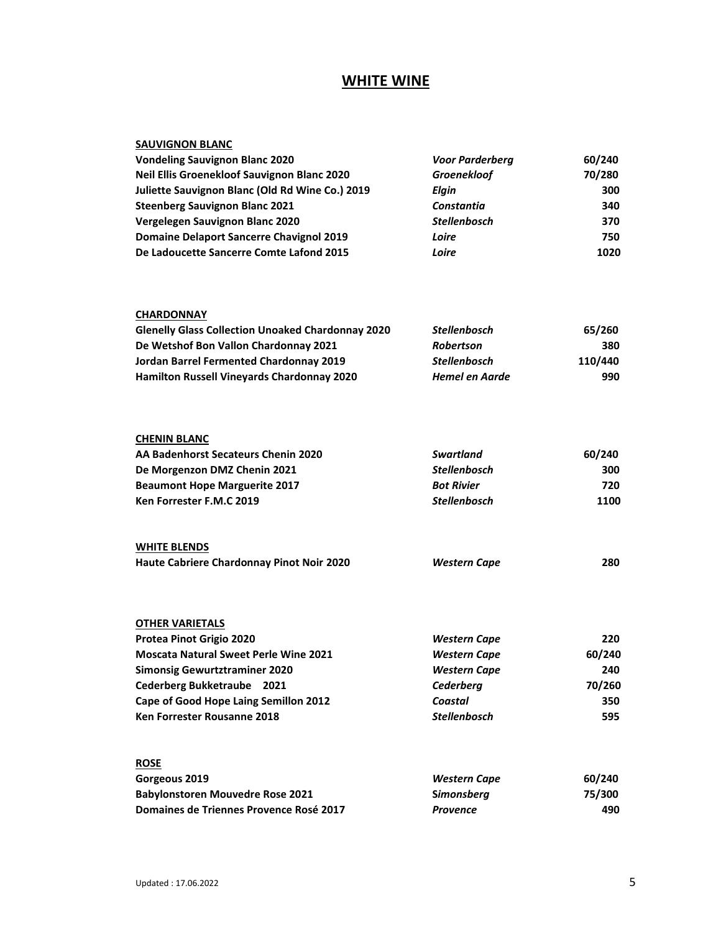## **WHITE WINE**

| <b>SAUVIGNON BLANC</b>                                   |                        |         |
|----------------------------------------------------------|------------------------|---------|
| <b>Vondeling Sauvignon Blanc 2020</b>                    | <b>Voor Parderberg</b> | 60/240  |
| Neil Ellis Groenekloof Sauvignon Blanc 2020              | Groenekloof            | 70/280  |
| Juliette Sauvignon Blanc (Old Rd Wine Co.) 2019          | Elgin                  | 300     |
| <b>Steenberg Sauvignon Blanc 2021</b>                    | Constantia             | 340     |
| Vergelegen Sauvignon Blanc 2020                          | <b>Stellenbosch</b>    | 370     |
| <b>Domaine Delaport Sancerre Chavignol 2019</b>          | Loire                  | 750     |
| De Ladoucette Sancerre Comte Lafond 2015                 | Loire                  | 1020    |
| <b>CHARDONNAY</b>                                        |                        |         |
| <b>Glenelly Glass Collection Unoaked Chardonnay 2020</b> | <b>Stellenbosch</b>    | 65/260  |
| De Wetshof Bon Vallon Chardonnay 2021                    | Robertson              | 380     |
| Jordan Barrel Fermented Chardonnay 2019                  | <b>Stellenbosch</b>    | 110/440 |
| Hamilton Russell Vineyards Chardonnay 2020               | <b>Hemel en Aarde</b>  | 990     |
| <b>CHENIN BLANC</b>                                      |                        |         |
| AA Badenhorst Secateurs Chenin 2020                      | <b>Swartland</b>       | 60/240  |
| De Morgenzon DMZ Chenin 2021                             | <b>Stellenbosch</b>    | 300     |
| <b>Beaumont Hope Marguerite 2017</b>                     | <b>Bot Rivier</b>      | 720     |
| Ken Forrester F.M.C 2019                                 | <b>Stellenbosch</b>    | 1100    |
| <b>WHITE BLENDS</b>                                      |                        |         |
| Haute Cabriere Chardonnay Pinot Noir 2020                | <b>Western Cape</b>    | 280     |
| <b>OTHER VARIETALS</b>                                   |                        |         |
| Protea Pinot Grigio 2020                                 | <b>Western Cape</b>    | 220     |
| <b>Moscata Natural Sweet Perle Wine 2021</b>             | <b>Western Cape</b>    | 60/240  |
| <b>Simonsig Gewurtztraminer 2020</b>                     | <b>Western Cape</b>    | 240     |
| Cederberg Bukketraube 2021                               | Cederberg              | 70/260  |
| Cape of Good Hope Laing Semillon 2012                    | Coastal                | 350     |
| Ken Forrester Rousanne 2018                              | Stellenbosch           | 595     |
| <b>ROSE</b>                                              |                        |         |
| Gorgeous 2019                                            | <b>Western Cape</b>    | 60/240  |
| <b>Babylonstoren Mouvedre Rose 2021</b>                  | <b>Simonsberg</b>      | 75/300  |
| Domaines de Triennes Provence Rosé 2017                  | Provence               | 490     |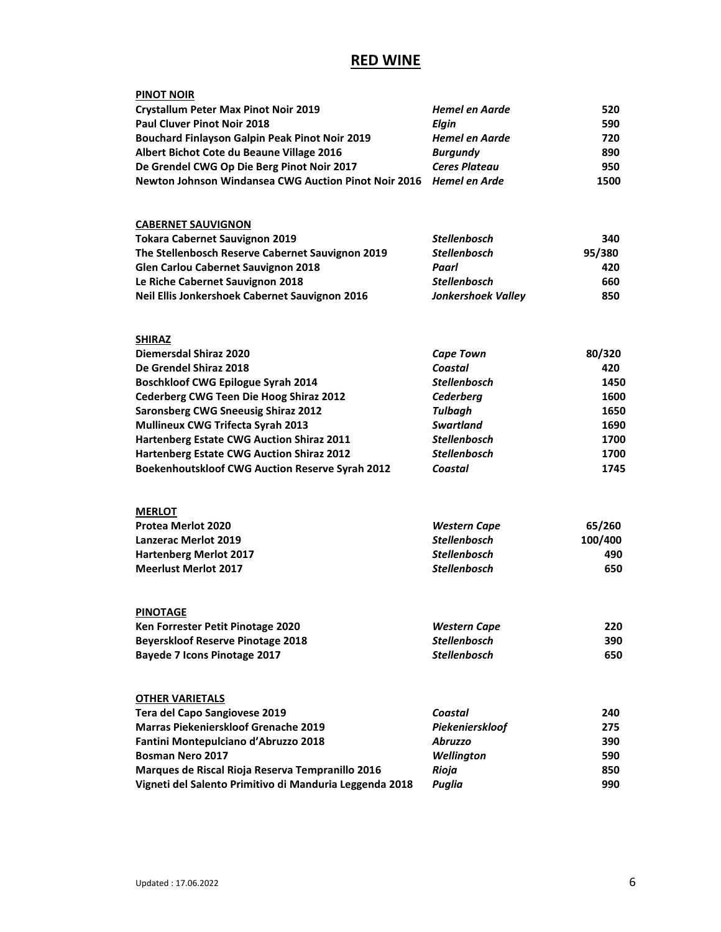## **RED WINE**

| Hemel en Aarde            | 520                                                                                                                                  |
|---------------------------|--------------------------------------------------------------------------------------------------------------------------------------|
| <b>Elgin</b>              | 590                                                                                                                                  |
| Hemel en Aarde            | 720                                                                                                                                  |
| <b>Burgundy</b>           | 890                                                                                                                                  |
| <b>Ceres Plateau</b>      | 950                                                                                                                                  |
|                           | 1500                                                                                                                                 |
|                           |                                                                                                                                      |
| <b>Stellenbosch</b>       | 340                                                                                                                                  |
| <b>Stellenbosch</b>       | 95/380                                                                                                                               |
| Paarl                     | 420                                                                                                                                  |
| <b>Stellenbosch</b>       | 660                                                                                                                                  |
| <b>Jonkershoek Valley</b> | 850                                                                                                                                  |
|                           |                                                                                                                                      |
|                           | 80/320                                                                                                                               |
| Coastal                   | 420                                                                                                                                  |
| <b>Stellenbosch</b>       | 1450                                                                                                                                 |
| Cederberg                 | 1600                                                                                                                                 |
| <b>Tulbagh</b>            | 1650                                                                                                                                 |
| <b>Swartland</b>          | 1690                                                                                                                                 |
| <b>Stellenbosch</b>       | 1700                                                                                                                                 |
| <b>Stellenbosch</b>       | 1700                                                                                                                                 |
| Coastal                   | 1745                                                                                                                                 |
|                           |                                                                                                                                      |
|                           | 65/260                                                                                                                               |
| <b>Stellenbosch</b>       | 100/400                                                                                                                              |
| <b>Stellenbosch</b>       | 490                                                                                                                                  |
| <b>Stellenbosch</b>       | 650                                                                                                                                  |
|                           |                                                                                                                                      |
|                           | 220                                                                                                                                  |
| <b>Stellenbosch</b>       | 390                                                                                                                                  |
| <b>Stellenbosch</b>       | 650                                                                                                                                  |
|                           |                                                                                                                                      |
| Coastal                   | 240                                                                                                                                  |
| Piekenierskloof           | 275                                                                                                                                  |
| <b>Abruzzo</b>            | 390                                                                                                                                  |
| Wellington                | 590                                                                                                                                  |
|                           | 850                                                                                                                                  |
| Rioja                     |                                                                                                                                      |
|                           | Newton Johnson Windansea CWG Auction Pinot Noir 2016 Hemel en Arde<br><b>Cape Town</b><br><b>Western Cape</b><br><b>Western Cape</b> |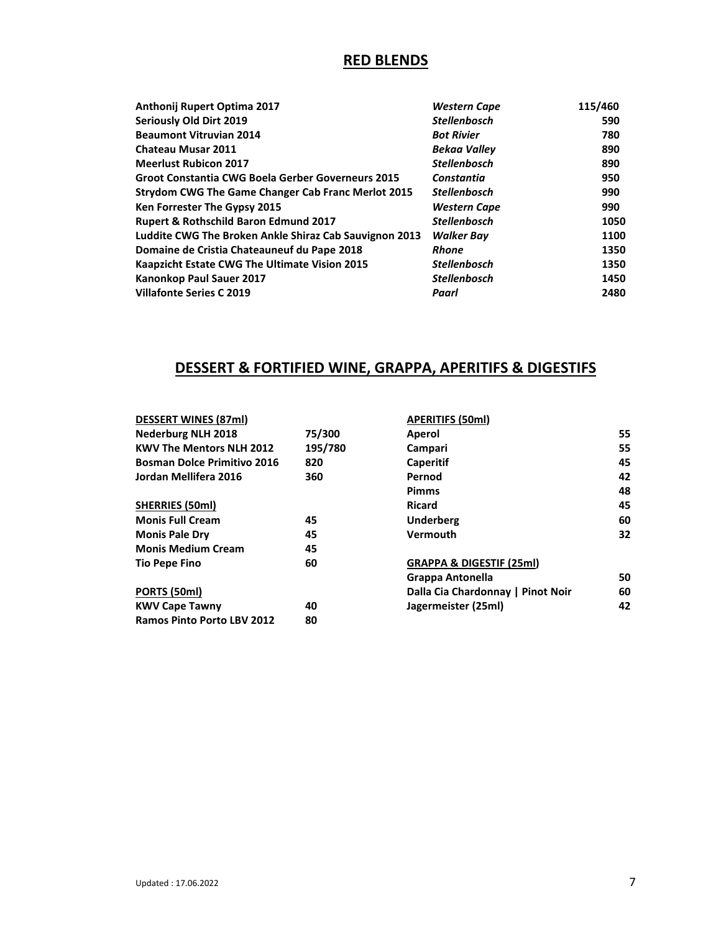## **RED BLENDS**

| Anthonij Rupert Optima 2017                               | <b>Western Cape</b> | 115/460 |
|-----------------------------------------------------------|---------------------|---------|
| Seriously Old Dirt 2019                                   | <b>Stellenbosch</b> | 590     |
| <b>Beaumont Vitruvian 2014</b>                            | <b>Bot Rivier</b>   | 780     |
| <b>Chateau Musar 2011</b>                                 | <b>Bekaa Valley</b> | 890     |
| <b>Meerlust Rubicon 2017</b>                              | <b>Stellenbosch</b> | 890     |
| Groot Constantia CWG Boela Gerber Governeurs 2015         | Constantia          | 950     |
| <b>Strydom CWG The Game Changer Cab Franc Merlot 2015</b> | <b>Stellenbosch</b> | 990     |
| Ken Forrester The Gypsy 2015                              | <b>Western Cape</b> | 990     |
| Rupert & Rothschild Baron Edmund 2017                     | <b>Stellenbosch</b> | 1050    |
| Luddite CWG The Broken Ankle Shiraz Cab Sauvignon 2013    | <b>Walker Bav</b>   | 1100    |
| Domaine de Cristia Chateauneuf du Pape 2018               | <b>Rhone</b>        | 1350    |
| Kaapzicht Estate CWG The Ultimate Vision 2015             | <b>Stellenbosch</b> | 1350    |
| Kanonkop Paul Sauer 2017                                  | <b>Stellenbosch</b> | 1450    |
| <b>Villafonte Series C 2019</b>                           | Paarl               | 2480    |

## **DESSERT & FORTIFIED WINE, GRAPPA, APERITIFS & DIGESTIFS**

| <b>DESSERT WINES (87ml)</b>        |         | <b>APERITIFS (50ml)</b>             |     |
|------------------------------------|---------|-------------------------------------|-----|
| <b>Nederburg NLH 2018</b>          | 75/300  | Aperol                              | 55. |
| <b>KWV The Mentors NLH 2012</b>    | 195/780 | Campari                             | 55  |
| <b>Bosman Dolce Primitivo 2016</b> | 820     | Caperitif                           | 45  |
| Jordan Mellifera 2016              | 360     | Pernod                              | 42  |
|                                    |         | <b>Pimms</b>                        | 48  |
| SHERRIES (50ml)                    |         | <b>Ricard</b>                       | 45  |
| <b>Monis Full Cream</b>            | 45      | <b>Underberg</b>                    | 60  |
| <b>Monis Pale Dry</b>              | 45      | Vermouth                            | 32  |
| <b>Monis Medium Cream</b>          | 45      |                                     |     |
| <b>Tio Pepe Fino</b>               | 60      | <b>GRAPPA &amp; DIGESTIF (25ml)</b> |     |
|                                    |         | Grappa Antonella                    | 50  |
| PORTS (50ml)                       |         | Dalla Cia Chardonnay   Pinot Noir   | 60  |
| <b>KWV Cape Tawny</b>              | 40      | Jagermeister (25ml)                 | 42  |
| <b>Ramos Pinto Porto LBV 2012</b>  | 80      |                                     |     |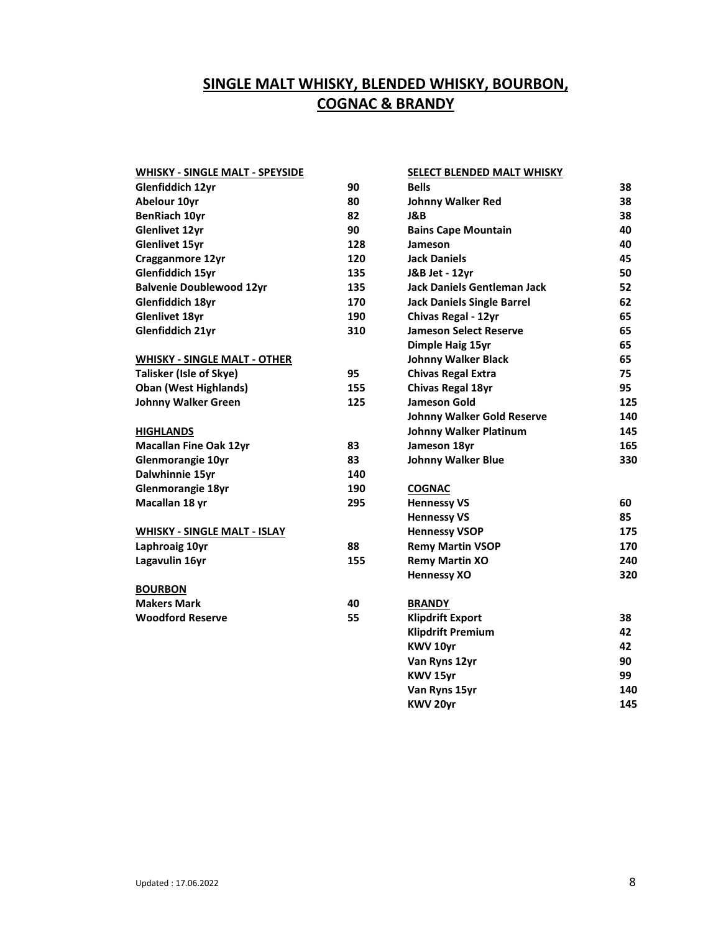# **SINGLE MALT WHISKY, BLENDED WHISKY, BOURBON, COGNAC & BRANDY**

| <b>WHISKY - SINGLE MALT - SPEYSIDE</b> |     | SELECT BLENDED MALT WHISKY         |     |
|----------------------------------------|-----|------------------------------------|-----|
| Glenfiddich 12yr                       | 90  | <b>Bells</b>                       | 38  |
| Abelour 10yr                           | 80  | <b>Johnny Walker Red</b>           | 38  |
| <b>BenRiach 10yr</b>                   | 82  | J&B                                | 38  |
| <b>Glenlivet 12yr</b>                  | 90  | <b>Bains Cape Mountain</b>         | 40  |
| <b>Glenlivet 15yr</b>                  | 128 | Jameson                            | 40  |
| Cragganmore 12yr                       | 120 | <b>Jack Daniels</b>                | 45  |
| Glenfiddich 15yr                       | 135 | J&B Jet - 12yr                     | 50  |
| <b>Balvenie Doublewood 12yr</b>        | 135 | <b>Jack Daniels Gentleman Jack</b> | 52  |
| Glenfiddich 18yr                       | 170 | <b>Jack Daniels Single Barrel</b>  | 62  |
| <b>Glenlivet 18yr</b>                  | 190 | Chivas Regal - 12yr                | 65  |
| Glenfiddich 21yr                       | 310 | <b>Jameson Select Reserve</b>      | 65  |
|                                        |     | Dimple Haig 15yr                   | 65  |
| <b>WHISKY - SINGLE MALT - OTHER</b>    |     | <b>Johnny Walker Black</b>         | 65  |
| Talisker (Isle of Skye)                | 95  | <b>Chivas Regal Extra</b>          | 75  |
| <b>Oban (West Highlands)</b>           | 155 | <b>Chivas Regal 18yr</b>           | 95  |
| <b>Johnny Walker Green</b>             | 125 | <b>Jameson Gold</b>                | 125 |
|                                        |     | <b>Johnny Walker Gold Reserve</b>  | 140 |
| <b>HIGHLANDS</b>                       |     | <b>Johnny Walker Platinum</b>      | 145 |
| <b>Macallan Fine Oak 12yr</b>          | 83  | Jameson 18yr                       | 165 |
| <b>Glenmorangie 10yr</b>               | 83  | <b>Johnny Walker Blue</b>          | 330 |
| Dalwhinnie 15yr                        | 140 |                                    |     |
| Glenmorangie 18yr                      | 190 | <b>COGNAC</b>                      |     |
| Macallan 18 yr                         | 295 | <b>Hennessy VS</b>                 | 60  |
|                                        |     | <b>Hennessy VS</b>                 | 85  |
| <b>WHISKY - SINGLE MALT - ISLAY</b>    |     | <b>Hennessy VSOP</b>               | 175 |
| Laphroaig 10yr                         | 88  | <b>Remy Martin VSOP</b>            | 170 |
| Lagavulin 16yr                         | 155 | <b>Remy Martin XO</b>              | 240 |
|                                        |     | <b>Hennessy XO</b>                 | 320 |
| <b>BOURBON</b>                         |     |                                    |     |
| <b>Makers Mark</b>                     | 40  | <b>BRANDY</b>                      |     |
| <b>Woodford Reserve</b>                | 55  | <b>Klipdrift Export</b>            | 38  |
|                                        |     | <b>Klipdrift Premium</b>           | 42  |
|                                        |     | KWV 10yr                           | 42  |
|                                        |     | Van Ryns 12yr                      | 90  |
|                                        |     | KWV 15yr                           | 99  |
|                                        |     | Van Ryns 15yr                      | 140 |
|                                        |     | KWV 20yr                           | 145 |